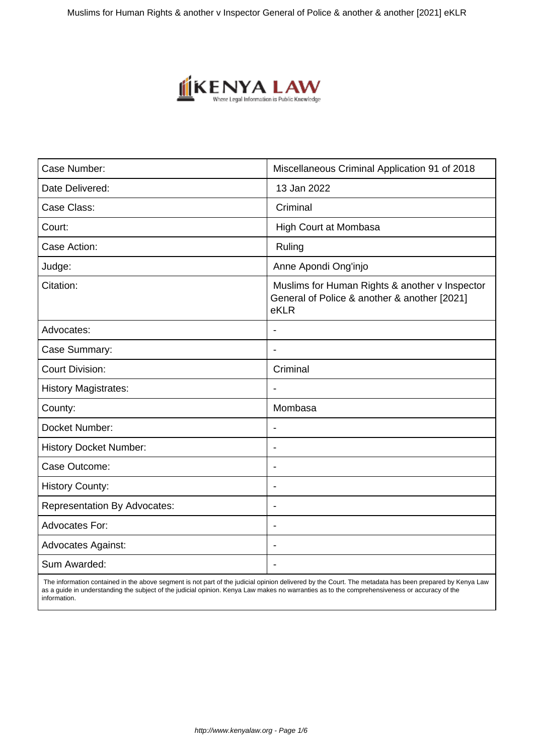

| Case Number:                        | Miscellaneous Criminal Application 91 of 2018                                                          |
|-------------------------------------|--------------------------------------------------------------------------------------------------------|
| Date Delivered:                     | 13 Jan 2022                                                                                            |
| Case Class:                         | Criminal                                                                                               |
| Court:                              | High Court at Mombasa                                                                                  |
| Case Action:                        | Ruling                                                                                                 |
| Judge:                              | Anne Apondi Ong'injo                                                                                   |
| Citation:                           | Muslims for Human Rights & another v Inspector<br>General of Police & another & another [2021]<br>eKLR |
| Advocates:                          |                                                                                                        |
| Case Summary:                       | $\blacksquare$                                                                                         |
| <b>Court Division:</b>              | Criminal                                                                                               |
| <b>History Magistrates:</b>         |                                                                                                        |
| County:                             | Mombasa                                                                                                |
| Docket Number:                      | $\blacksquare$                                                                                         |
| <b>History Docket Number:</b>       | $\overline{\phantom{0}}$                                                                               |
| Case Outcome:                       | $\blacksquare$                                                                                         |
| <b>History County:</b>              |                                                                                                        |
| <b>Representation By Advocates:</b> | $\overline{\phantom{a}}$                                                                               |
| <b>Advocates For:</b>               | $\blacksquare$                                                                                         |
| <b>Advocates Against:</b>           | $\overline{\phantom{0}}$                                                                               |
| Sum Awarded:                        |                                                                                                        |

 The information contained in the above segment is not part of the judicial opinion delivered by the Court. The metadata has been prepared by Kenya Law as a guide in understanding the subject of the judicial opinion. Kenya Law makes no warranties as to the comprehensiveness or accuracy of the information.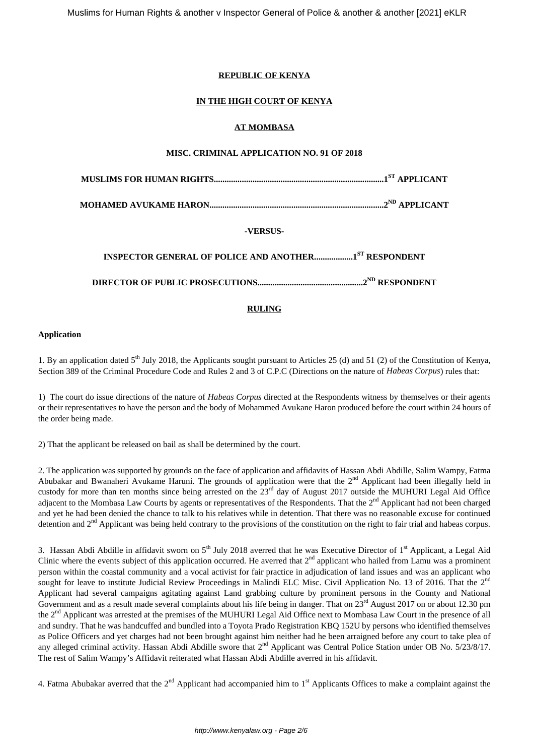## **REPUBLIC OF KENYA**

## **IN THE HIGH COURT OF KENYA**

## **AT MOMBASA**

### **MISC. CRIMINAL APPLICATION NO. 91 OF 2018**

# **-VERSUS-**

# **INSPECTOR GENERAL OF POLICE AND ANOTHER..................1ST RESPONDENT**

# **DIRECTOR OF PUBLIC PROSECUTIONS.................................................2ND RESPONDENT**

## **RULING**

#### **Application**

1. By an application dated  $5<sup>th</sup>$  July 2018, the Applicants sought pursuant to Articles 25 (d) and 51 (2) of the Constitution of Kenya, Section 389 of the Criminal Procedure Code and Rules 2 and 3 of C.P.C (Directions on the nature of *Habeas Corpus*) rules that:

1) The court do issue directions of the nature of *Habeas Corpus* directed at the Respondents witness by themselves or their agents or their representatives to have the person and the body of Mohammed Avukane Haron produced before the court within 24 hours of the order being made.

2) That the applicant be released on bail as shall be determined by the court.

2. The application was supported by grounds on the face of application and affidavits of Hassan Abdi Abdille, Salim Wampy, Fatma Abubakar and Bwanaheri Avukame Haruni. The grounds of application were that the 2<sup>nd</sup> Applicant had been illegally held in custody for more than ten months since being arrested on the 23<sup>rd</sup> day of August 2017 outside the MUHURI Legal Aid Office adjacent to the Mombasa Law Courts by agents or representatives of the Respondents. That the 2<sup>nd</sup> Applicant had not been charged and yet he had been denied the chance to talk to his relatives while in detention. That there was no reasonable excuse for continued detention and  $2<sup>nd</sup>$  Applicant was being held contrary to the provisions of the constitution on the right to fair trial and habeas corpus.

3. Hassan Abdi Abdille in affidavit sworn on  $5<sup>th</sup>$  July 2018 averred that he was Executive Director of  $1<sup>st</sup>$  Applicant, a Legal Aid Clinic where the events subject of this application occurred. He averred that  $2<sup>nd</sup>$  applicant who hailed from Lamu was a prominent person within the coastal community and a vocal activist for fair practice in adjudication of land issues and was an applicant who sought for leave to institute Judicial Review Proceedings in Malindi ELC Misc. Civil Application No. 13 of 2016. That the 2<sup>nd</sup> Applicant had several campaigns agitating against Land grabbing culture by prominent persons in the County and National Government and as a result made several complaints about his life being in danger. That on 23<sup>rd</sup> August 2017 on or about 12.30 pm the 2<sup>nd</sup> Applicant was arrested at the premises of the MUHURI Legal Aid Office next to Mombasa Law Court in the presence of all and sundry. That he was handcuffed and bundled into a Toyota Prado Registration KBQ 152U by persons who identified themselves as Police Officers and yet charges had not been brought against him neither had he been arraigned before any court to take plea of any alleged criminal activity. Hassan Abdi Abdille swore that 2<sup>nd</sup> Applicant was Central Police Station under OB No. 5/23/8/17. The rest of Salim Wampy's Affidavit reiterated what Hassan Abdi Abdille averred in his affidavit.

4. Fatma Abubakar averred that the  $2^{nd}$  Applicant had accompanied him to  $1^{st}$  Applicants Offices to make a complaint against the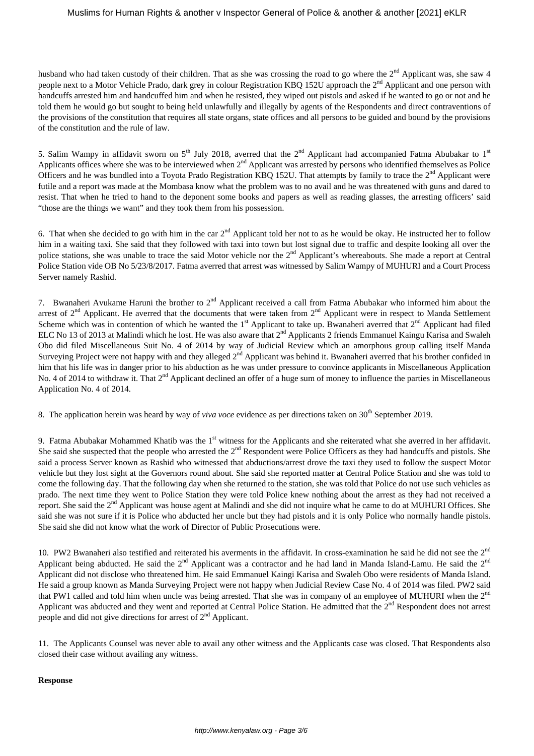#### Muslims for Human Rights & another v Inspector General of Police & another & another [2021] eKLR

husband who had taken custody of their children. That as she was crossing the road to go where the 2<sup>nd</sup> Applicant was, she saw 4 people next to a Motor Vehicle Prado, dark grey in colour Registration KBQ 152U approach the 2<sup>nd</sup> Applicant and one person with handcuffs arrested him and handcuffed him and when he resisted, they wiped out pistols and asked if he wanted to go or not and he told them he would go but sought to being held unlawfully and illegally by agents of the Respondents and direct contraventions of the provisions of the constitution that requires all state organs, state offices and all persons to be guided and bound by the provisions of the constitution and the rule of law.

5. Salim Wampy in affidavit sworn on  $5<sup>th</sup>$  July 2018, averred that the  $2<sup>nd</sup>$  Applicant had accompanied Fatma Abubakar to  $1<sup>st</sup>$ Applicants offices where she was to be interviewed when 2<sup>nd</sup> Applicant was arrested by persons who identified themselves as Police Officers and he was bundled into a Toyota Prado Registration KBQ 152U. That attempts by family to trace the  $2<sup>nd</sup>$  Applicant were futile and a report was made at the Mombasa know what the problem was to no avail and he was threatened with guns and dared to resist. That when he tried to hand to the deponent some books and papers as well as reading glasses, the arresting officers' said "those are the things we want" and they took them from his possession.

6. That when she decided to go with him in the car  $2^{nd}$  Applicant told her not to as he would be okay. He instructed her to follow him in a waiting taxi. She said that they followed with taxi into town but lost signal due to traffic and despite looking all over the police stations, she was unable to trace the said Motor vehicle nor the 2<sup>nd</sup> Applicant's whereabouts. She made a report at Central Police Station vide OB No 5/23/8/2017. Fatma averred that arrest was witnessed by Salim Wampy of MUHURI and a Court Process Server namely Rashid.

7. Bwanaheri Avukame Haruni the brother to  $2<sup>nd</sup>$  Applicant received a call from Fatma Abubakar who informed him about the arrest of 2<sup>nd</sup> Applicant. He averred that the documents that were taken from 2<sup>nd</sup> Applicant were in respect to Manda Settlement Scheme which was in contention of which he wanted the  $1<sup>st</sup>$  Applicant to take up. Bwanaheri averred that  $2<sup>nd</sup>$  Applicant had filed ELC No 13 of 2013 at Malindi which he lost. He was also aware that  $2<sup>nd</sup>$  Applicants 2 friends Emmanuel Kaingu Karisa and Swaleh Obo did filed Miscellaneous Suit No. 4 of 2014 by way of Judicial Review which an amorphous group calling itself Manda Surveying Project were not happy with and they alleged 2<sup>nd</sup> Applicant was behind it. Bwanaheri averred that his brother confided in him that his life was in danger prior to his abduction as he was under pressure to convince applicants in Miscellaneous Application No. 4 of 2014 to withdraw it. That 2<sup>nd</sup> Applicant declined an offer of a huge sum of money to influence the parties in Miscellaneous Application No. 4 of 2014.

8. The application herein was heard by way of *viva voce* evidence as per directions taken on 30<sup>th</sup> September 2019.

9. Fatma Abubakar Mohammed Khatib was the  $1<sup>st</sup>$  witness for the Applicants and she reiterated what she averred in her affidavit. She said she suspected that the people who arrested the  $2<sup>nd</sup>$  Respondent were Police Officers as they had handcuffs and pistols. She said a process Server known as Rashid who witnessed that abductions/arrest drove the taxi they used to follow the suspect Motor vehicle but they lost sight at the Governors round about. She said she reported matter at Central Police Station and she was told to come the following day. That the following day when she returned to the station, she was told that Police do not use such vehicles as prado. The next time they went to Police Station they were told Police knew nothing about the arrest as they had not received a report. She said the 2<sup>nd</sup> Applicant was house agent at Malindi and she did not inquire what he came to do at MUHURI Offices. She said she was not sure if it is Police who abducted her uncle but they had pistols and it is only Police who normally handle pistols. She said she did not know what the work of Director of Public Prosecutions were.

10. PW2 Bwanaheri also testified and reiterated his averments in the affidavit. In cross-examination he said he did not see the  $2<sup>nd</sup>$ Applicant being abducted. He said the  $2<sup>nd</sup>$  Applicant was a contractor and he had land in Manda Island-Lamu. He said the  $2<sup>nd</sup>$ Applicant did not disclose who threatened him. He said Emmanuel Kaingi Karisa and Swaleh Obo were residents of Manda Island. He said a group known as Manda Surveying Project were not happy when Judicial Review Case No. 4 of 2014 was filed. PW2 said that PW1 called and told him when uncle was being arrested. That she was in company of an employee of MUHURI when the 2<sup>nd</sup> Applicant was abducted and they went and reported at Central Police Station. He admitted that the 2<sup>nd</sup> Respondent does not arrest people and did not give directions for arrest of  $2<sup>nd</sup>$  Applicant.

11. The Applicants Counsel was never able to avail any other witness and the Applicants case was closed. That Respondents also closed their case without availing any witness.

#### **Response**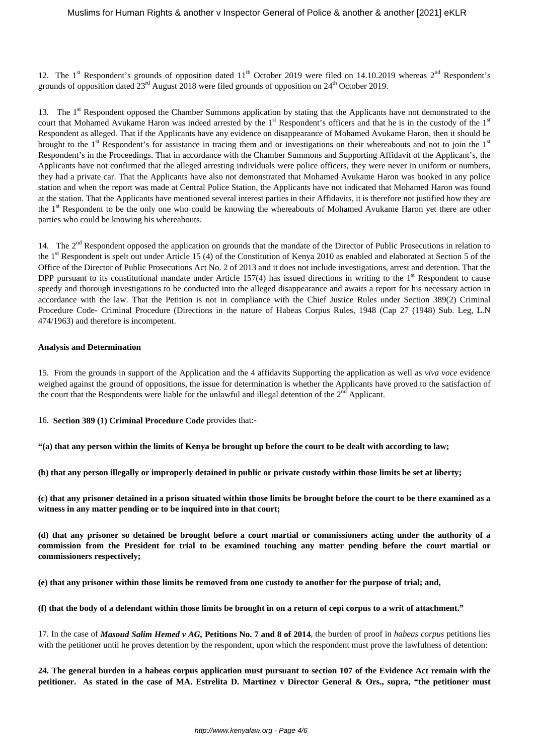12. The 1<sup>st</sup> Respondent's grounds of opposition dated  $11<sup>th</sup>$  October 2019 were filed on 14.10.2019 whereas  $2<sup>nd</sup>$  Respondent's grounds of opposition dated  $23<sup>rd</sup>$  August 2018 were filed grounds of opposition on  $24<sup>th</sup>$  October 2019.

13. The 1<sup>st</sup> Respondent opposed the Chamber Summons application by stating that the Applicants have not demonstrated to the court that Mohamed Avukame Haron was indeed arrested by the 1<sup>st</sup> Respondent's officers and that he is in the custody of the 1<sup>st</sup> Respondent as alleged. That if the Applicants have any evidence on disappearance of Mohamed Avukame Haron, then it should be brought to the  $1<sup>st</sup>$  Respondent's for assistance in tracing them and or investigations on their whereabouts and not to join the  $1<sup>st</sup>$ Respondent's in the Proceedings. That in accordance with the Chamber Summons and Supporting Affidavit of the Applicant's, the Applicants have not confirmed that the alleged arresting individuals were police officers, they were never in uniform or numbers, they had a private car. That the Applicants have also not demonstrated that Mohamed Avukame Haron was booked in any police station and when the report was made at Central Police Station, the Applicants have not indicated that Mohamed Haron was found at the station. That the Applicants have mentioned several interest parties in their Affidavits, it is therefore not justified how they are the 1<sup>st</sup> Respondent to be the only one who could be knowing the whereabouts of Mohamed Avukame Haron yet there are other parties who could be knowing his whereabouts.

14. The 2<sup>nd</sup> Respondent opposed the application on grounds that the mandate of the Director of Public Prosecutions in relation to the 1<sup>st</sup> Respondent is spelt out under Article 15 (4) of the Constitution of Kenya 2010 as enabled and elaborated at Section 5 of the Office of the Director of Public Prosecutions Act No. 2 of 2013 and it does not include investigations, arrest and detention. That the DPP pursuant to its constitutional mandate under Article 157(4) has issued directions in writing to the  $1<sup>st</sup>$  Respondent to cause speedy and thorough investigations to be conducted into the alleged disappearance and awaits a report for his necessary action in accordance with the law. That the Petition is not in compliance with the Chief Justice Rules under Section 389(2) Criminal Procedure Code- Criminal Procedure (Directions in the nature of Habeas Corpus Rules, 1948 (Cap 27 (1948) Sub. Leg, L.N 474/1963) and therefore is incompetent.

#### **Analysis and Determination**

15. From the grounds in support of the Application and the 4 affidavits Supporting the application as well as *viva voce* evidence weighed against the ground of oppositions, the issue for determination is whether the Applicants have proved to the satisfaction of the court that the Respondents were liable for the unlawful and illegal detention of the 2<sup>nd</sup> Applicant.

16. **Section 389 (1) Criminal Procedure Code** provides that:-

**"(a) that any person within the limits of Kenya be brought up before the court to be dealt with according to law;**

**(b) that any person illegally or improperly detained in public or private custody within those limits be set at liberty;**

**(c) that any prisoner detained in a prison situated within those limits be brought before the court to be there examined as a witness in any matter pending or to be inquired into in that court;**

**(d) that any prisoner so detained be brought before a court martial or commissioners acting under the authority of a commission from the President for trial to be examined touching any matter pending before the court martial or commissioners respectively;**

**(e) that any prisoner within those limits be removed from one custody to another for the purpose of trial; and,**

**(f) that the body of a defendant within those limits be brought in on a return of cepi corpus to a writ of attachment."**

17. In the case of *Masoud Salim Hemed v AG,* **Petitions No. 7 and 8 of 2014**, the burden of proof in *habeas corpus* petitions lies with the petitioner until he proves detention by the respondent, upon which the respondent must prove the lawfulness of detention:

**24. The general burden in a habeas corpus application must pursuant to section 107 of the Evidence Act remain with the petitioner. As stated in the case of MA. Estrelita D. Martinez v Director General & Ors., supra, "the petitioner must**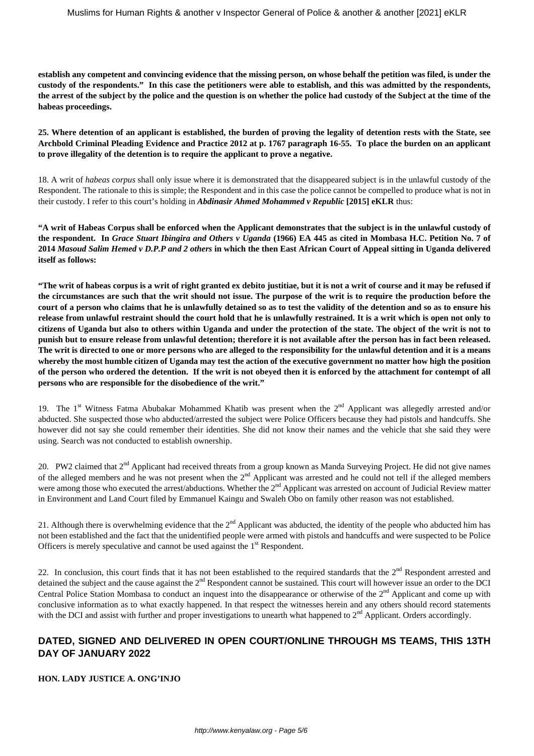**establish any competent and convincing evidence that the missing person, on whose behalf the petition was filed, is under the custody of the respondents." In this case the petitioners were able to establish, and this was admitted by the respondents, the arrest of the subject by the police and the question is on whether the police had custody of the Subject at the time of the habeas proceedings.**

**25. Where detention of an applicant is established, the burden of proving the legality of detention rests with the State, see Archbold Criminal Pleading Evidence and Practice 2012 at p. 1767 paragraph 16-55. To place the burden on an applicant to prove illegality of the detention is to require the applicant to prove a negative.**

18. A writ of *habeas corpus* shall only issue where it is demonstrated that the disappeared subject is in the unlawful custody of the Respondent. The rationale to this is simple; the Respondent and in this case the police cannot be compelled to produce what is not in their custody. I refer to this court's holding in *Abdinasir Ahmed Mohammed v Republic* **[2015] eKLR** thus:

**"A writ of Habeas Corpus shall be enforced when the Applicant demonstrates that the subject is in the unlawful custody of the respondent. In** *Grace Stuart Ibingira and Others v Uganda* **(1966) EA 445 as cited in Mombasa H.C. Petition No. 7 of 2014** *Masoud Salim Hemed v D.P.P and 2 others* **in which the then East African Court of Appeal sitting in Uganda delivered itself as follows:**

**"The writ of habeas corpus is a writ of right granted ex debito justitiae, but it is not a writ of course and it may be refused if the circumstances are such that the writ should not issue. The purpose of the writ is to require the production before the court of a person who claims that he is unlawfully detained so as to test the validity of the detention and so as to ensure his release from unlawful restraint should the court hold that he is unlawfully restrained. It is a writ which is open not only to citizens of Uganda but also to others within Uganda and under the protection of the state. The object of the writ is not to punish but to ensure release from unlawful detention; therefore it is not available after the person has in fact been released. The writ is directed to one or more persons who are alleged to the responsibility for the unlawful detention and it is a means whereby the most humble citizen of Uganda may test the action of the executive government no matter how high the position of the person who ordered the detention. If the writ is not obeyed then it is enforced by the attachment for contempt of all persons who are responsible for the disobedience of the writ."**

19. The  $1<sup>st</sup>$  Witness Fatma Abubakar Mohammed Khatib was present when the  $2<sup>nd</sup>$  Applicant was allegedly arrested and/or abducted. She suspected those who abducted/arrested the subject were Police Officers because they had pistols and handcuffs. She however did not say she could remember their identities. She did not know their names and the vehicle that she said they were using. Search was not conducted to establish ownership.

20. PW2 claimed that  $2<sup>nd</sup>$  Applicant had received threats from a group known as Manda Surveying Project. He did not give names of the alleged members and he was not present when the 2nd Applicant was arrested and he could not tell if the alleged members were among those who executed the arrest/abductions. Whether the 2<sup>nd</sup> Applicant was arrested on account of Judicial Review matter in Environment and Land Court filed by Emmanuel Kaingu and Swaleh Obo on family other reason was not established.

21. Although there is overwhelming evidence that the  $2<sup>nd</sup>$  Applicant was abducted, the identity of the people who abducted him has not been established and the fact that the unidentified people were armed with pistols and handcuffs and were suspected to be Police Officers is merely speculative and cannot be used against the  $1<sup>st</sup>$  Respondent.

22. In conclusion, this court finds that it has not been established to the required standards that the  $2<sup>nd</sup>$  Respondent arrested and detained the subject and the cause against the  $2<sup>nd</sup>$  Respondent cannot be sustained. This court will however issue an order to the DCI Central Police Station Mombasa to conduct an inquest into the disappearance or otherwise of the  $2<sup>nd</sup>$  Applicant and come up with conclusive information as to what exactly happened. In that respect the witnesses herein and any others should record statements with the DCI and assist with further and proper investigations to unearth what happened to  $2<sup>nd</sup>$  Applicant. Orders accordingly.

# **DATED, SIGNED AND DELIVERED IN OPEN COURT/ONLINE THROUGH MS TEAMS, THIS 13TH DAY OF JANUARY 2022**

### **HON. LADY JUSTICE A. ONG'INJO**